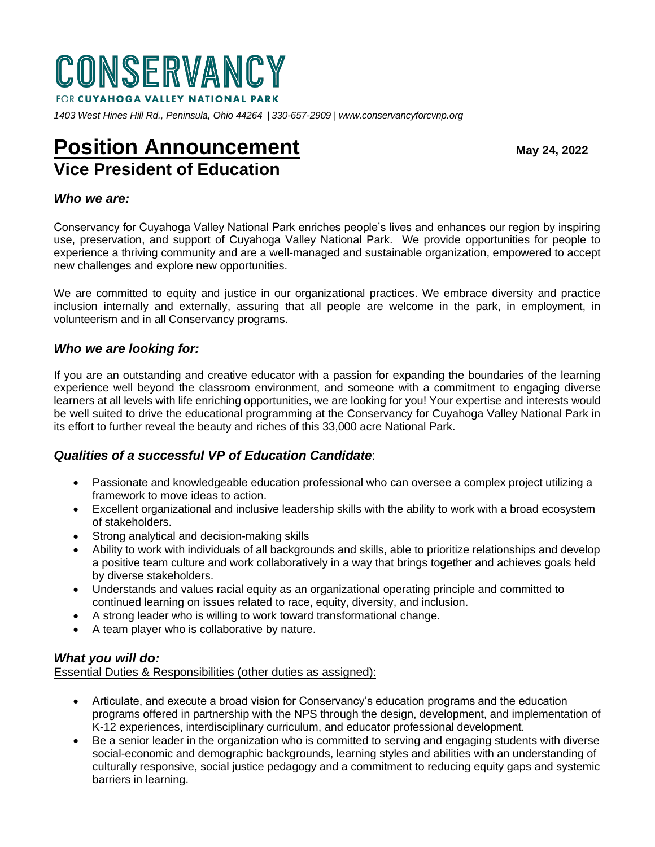

*1403 West Hines Hill Rd., Peninsula, Ohio 44264 | 330-657-2909 [| www.conservancyforcvnp.org](http://www.conservancyforcvnp.org/)*

# **Position Announcement** May 24, 2022 **Vice President of Education**

## *Who we are:*

Conservancy for Cuyahoga Valley National Park enriches people's lives and enhances our region by inspiring use, preservation, and support of Cuyahoga Valley National Park. We provide opportunities for people to experience a thriving community and are a well-managed and sustainable organization, empowered to accept new challenges and explore new opportunities.

We are committed to equity and justice in our organizational practices. We embrace diversity and practice inclusion internally and externally, assuring that all people are welcome in the park, in employment, in volunteerism and in all Conservancy programs.

#### *Who we are looking for:*

If you are an outstanding and creative educator with a passion for expanding the boundaries of the learning experience well beyond the classroom environment, and someone with a commitment to engaging diverse learners at all levels with life enriching opportunities, we are looking for you! Your expertise and interests would be well suited to drive the educational programming at the Conservancy for Cuyahoga Valley National Park in its effort to further reveal the beauty and riches of this 33,000 acre National Park.

## *Qualities of a successful VP of Education Candidate*:

- Passionate and knowledgeable education professional who can oversee a complex project utilizing a framework to move ideas to action.
- Excellent organizational and inclusive leadership skills with the ability to work with a broad ecosystem of stakeholders.
- Strong analytical and decision-making skills
- Ability to work with individuals of all backgrounds and skills, able to prioritize relationships and develop a positive team culture and work collaboratively in a way that brings together and achieves goals held by diverse stakeholders.
- Understands and values racial equity as an organizational operating principle and committed to continued learning on issues related to race, equity, diversity, and inclusion.
- A strong leader who is willing to work toward transformational change.
- A team player who is collaborative by nature.

#### *What you will do:*

Essential Duties & Responsibilities (other duties as assigned):

- Articulate, and execute a broad vision for Conservancy's education programs and the education programs offered in partnership with the NPS through the design, development, and implementation of K-12 experiences, interdisciplinary curriculum, and educator professional development.
- Be a senior leader in the organization who is committed to serving and engaging students with diverse social-economic and demographic backgrounds, learning styles and abilities with an understanding of culturally responsive, social justice pedagogy and a commitment to reducing equity gaps and systemic barriers in learning.